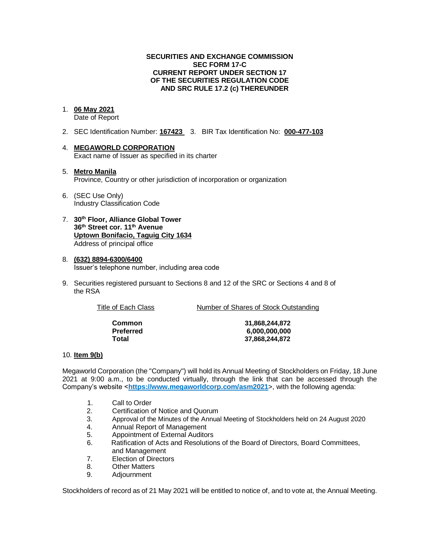### **SECURITIES AND EXCHANGE COMMISSION SEC FORM 17-C CURRENT REPORT UNDER SECTION 17 OF THE SECURITIES REGULATION CODE AND SRC RULE 17.2 (c) THEREUNDER**

### 1. **06 May 2021**

Date of Report

- 2. SEC Identification Number: **167423** 3. BIR Tax Identification No: **000-477-103**
- 4. **MEGAWORLD CORPORATION** Exact name of Issuer as specified in its charter
- 5. **Metro Manila** Province, Country or other jurisdiction of incorporation or organization
- 6. (SEC Use Only) Industry Classification Code
- 7. **30th Floor, Alliance Global Tower 36th Street cor. 11th Avenue Uptown Bonifacio, Taguig City 1634** Address of principal office
- 8. **(632) 8894-6300/6400** Issuer's telephone number, including area code
- 9. Securities registered pursuant to Sections 8 and 12 of the SRC or Sections 4 and 8 of the RSA

| Title of Each Class | Number of Shares of Stock Outstanding |
|---------------------|---------------------------------------|
| Common              | 31,868,244,872                        |

**Preferred 6,000,000,000 Total 37,868,244,872**

### 10. **Item 9(b)**

Megaworld Corporation (the "Company") will hold its Annual Meeting of Stockholders on Friday, 18 June 2021 at 9:00 a.m., to be conducted virtually, through the link that can be accessed through the Company's website <**[https://www.megaworldcorp.com/a](https://www.megaworldcorp.com/)sm2021**>, with the following agenda:

- 1. Call to Order
- 2. Certification of Notice and Quorum
- 3. Approval of the Minutes of the Annual Meeting of Stockholders held on 24 August 2020
- 4. Annual Report of Management<br>5. Appointment of External Auditor
- Appointment of External Auditors
- 6. Ratification of Acts and Resolutions of the Board of Directors, Board Committees, and Management
- 7. Election of Directors
- 8. Other Matters
- 9. Adjournment

Stockholders of record as of 21 May 2021 will be entitled to notice of, and to vote at, the Annual Meeting.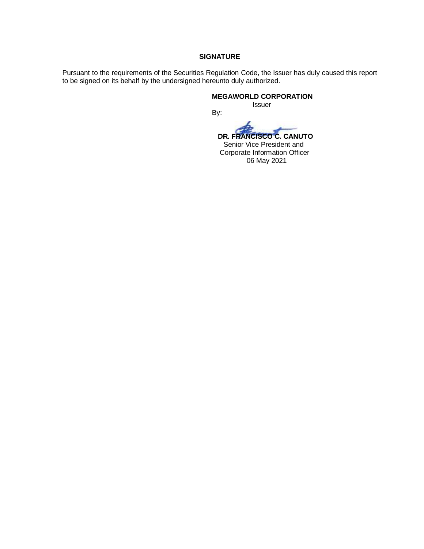### **SIGNATURE**

Pursuant to the requirements of the Securities Regulation Code, the Issuer has duly caused this report to be signed on its behalf by the undersigned hereunto duly authorized.

By:

**MEGAWORLD CORPORATION**

Issuer

 **DR. FRANCISCO C. CANUTO**

 Senior Vice President and Corporate Information Officer 06 May 2021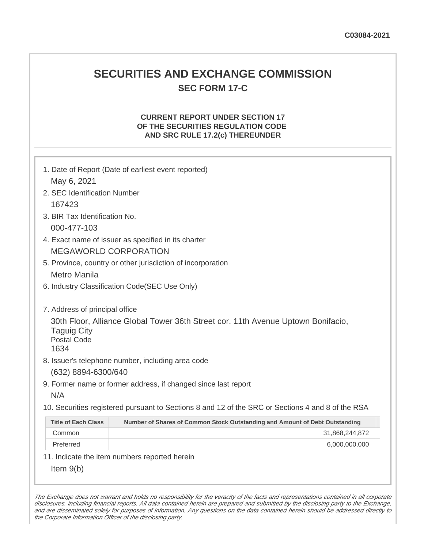# **SECURITIES AND EXCHANGE COMMISSION SEC FORM 17-C**

## **CURRENT REPORT UNDER SECTION 17 OF THE SECURITIES REGULATION CODE AND SRC RULE 17.2(c) THEREUNDER**

| May 6, 2021                                                                        | 1. Date of Report (Date of earliest event reported)                                               |  |  |
|------------------------------------------------------------------------------------|---------------------------------------------------------------------------------------------------|--|--|
| 2. SEC Identification Number                                                       |                                                                                                   |  |  |
| 167423                                                                             |                                                                                                   |  |  |
| 3. BIR Tax Identification No.                                                      |                                                                                                   |  |  |
| 000-477-103                                                                        |                                                                                                   |  |  |
| 4. Exact name of issuer as specified in its charter                                |                                                                                                   |  |  |
| <b>MEGAWORLD CORPORATION</b>                                                       |                                                                                                   |  |  |
|                                                                                    | 5. Province, country or other jurisdiction of incorporation                                       |  |  |
| Metro Manila                                                                       |                                                                                                   |  |  |
| 6. Industry Classification Code(SEC Use Only)                                      |                                                                                                   |  |  |
| 7. Address of principal office<br><b>Taguig City</b><br><b>Postal Code</b><br>1634 | 30th Floor, Alliance Global Tower 36th Street cor. 11th Avenue Uptown Bonifacio,                  |  |  |
|                                                                                    | 8. Issuer's telephone number, including area code                                                 |  |  |
| (632) 8894-6300/640                                                                |                                                                                                   |  |  |
| N/A                                                                                | 9. Former name or former address, if changed since last report                                    |  |  |
|                                                                                    | 10. Securities registered pursuant to Sections 8 and 12 of the SRC or Sections 4 and 8 of the RSA |  |  |
| <b>Title of Each Class</b>                                                         | Number of Shares of Common Stock Outstanding and Amount of Debt Outstanding                       |  |  |
| Common                                                                             | 31,868,244,872                                                                                    |  |  |
| Preferred                                                                          | 6,000,000,000                                                                                     |  |  |
|                                                                                    | 11. Indicate the item numbers reported herein                                                     |  |  |
| Item $9(b)$                                                                        |                                                                                                   |  |  |

The Exchange does not warrant and holds no responsibility for the veracity of the facts and representations contained in all corporate disclosures, including financial reports. All data contained herein are prepared and submitted by the disclosing party to the Exchange, and are disseminated solely for purposes of information. Any questions on the data contained herein should be addressed directly to the Corporate Information Officer of the disclosing party.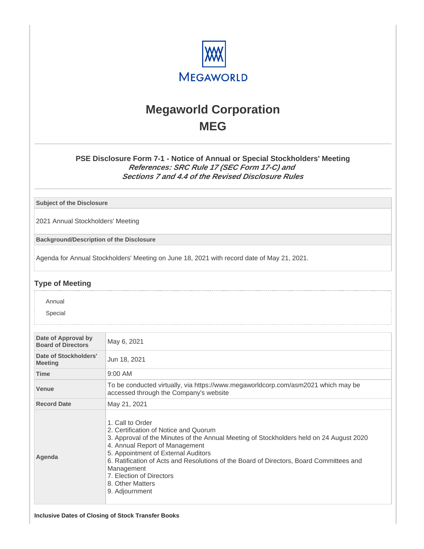

# **Megaworld Corporation MEG**

## **PSE Disclosure Form 7-1 - Notice of Annual or Special Stockholders' Meeting References: SRC Rule 17 (SEC Form 17-C) and Sections 7 and 4.4 of the Revised Disclosure Rules**

**Subject of the Disclosure**

2021 Annual Stockholders' Meeting

**Background/Description of the Disclosure**

Agenda for Annual Stockholders' Meeting on June 18, 2021 with record date of May 21, 2021.

### **Type of Meeting**

**☑** Annual

D Special

| Date of Approval by<br><b>Board of Directors</b> | May 6, 2021                                                                                                                                                                                                                                                                                                                                                                                              |  |
|--------------------------------------------------|----------------------------------------------------------------------------------------------------------------------------------------------------------------------------------------------------------------------------------------------------------------------------------------------------------------------------------------------------------------------------------------------------------|--|
| Date of Stockholders'<br><b>Meeting</b>          | Jun 18, 2021                                                                                                                                                                                                                                                                                                                                                                                             |  |
| <b>Time</b>                                      | $9:00$ AM                                                                                                                                                                                                                                                                                                                                                                                                |  |
| <b>Venue</b>                                     | To be conducted virtually, via https://www.megaworldcorp.com/asm2021 which may be<br>accessed through the Company's website                                                                                                                                                                                                                                                                              |  |
| <b>Record Date</b>                               | May 21, 2021                                                                                                                                                                                                                                                                                                                                                                                             |  |
| Agenda                                           | 1. Call to Order<br>2. Certification of Notice and Quorum<br>3. Approval of the Minutes of the Annual Meeting of Stockholders held on 24 August 2020<br>4. Annual Report of Management<br>5. Appointment of External Auditors<br>6. Ratification of Acts and Resolutions of the Board of Directors, Board Committees and<br>Management<br>7. Election of Directors<br>8. Other Matters<br>9. Adjournment |  |